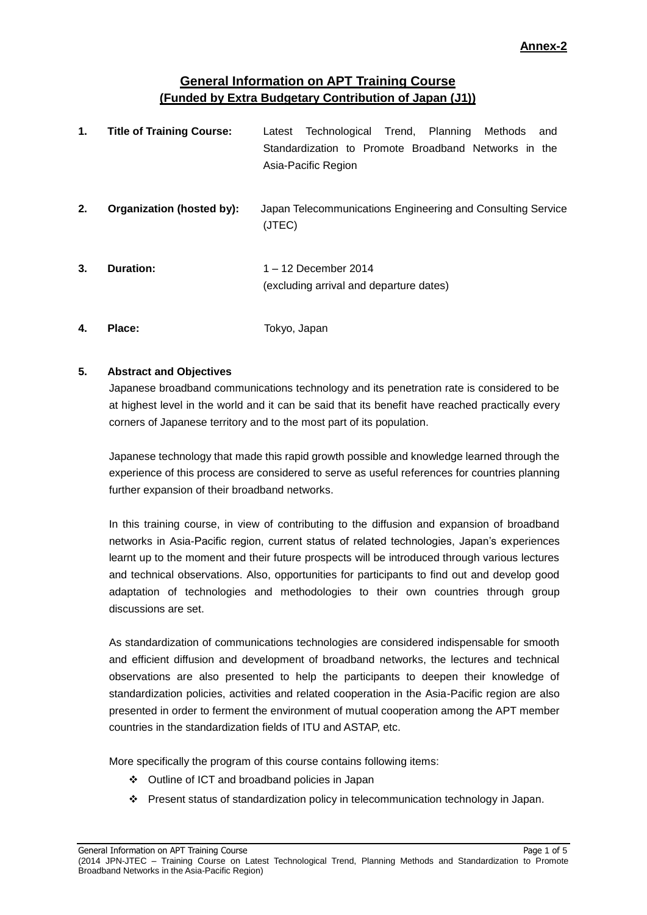# **General Information on APT Training Course (Funded by Extra Budgetary Contribution of Japan (J1))**

| 1. | <b>Title of Training Course:</b> | Latest Technological Trend, Planning Methods<br>and<br>Standardization to Promote Broadband Networks in the<br>Asia-Pacific Region |
|----|----------------------------------|------------------------------------------------------------------------------------------------------------------------------------|
| 2. | Organization (hosted by):        | Japan Telecommunications Engineering and Consulting Service                                                                        |

**3. Duration:** 1 – 12 December 2014 (excluding arrival and departure dates)

(JTEC)

**4. Place:** Tokyo, Japan

## **5. Abstract and Objectives**

Japanese broadband communications technology and its penetration rate is considered to be at highest level in the world and it can be said that its benefit have reached practically every corners of Japanese territory and to the most part of its population.

Japanese technology that made this rapid growth possible and knowledge learned through the experience of this process are considered to serve as useful references for countries planning further expansion of their broadband networks.

In this training course, in view of contributing to the diffusion and expansion of broadband networks in Asia-Pacific region, current status of related technologies, Japan's experiences learnt up to the moment and their future prospects will be introduced through various lectures and technical observations. Also, opportunities for participants to find out and develop good adaptation of technologies and methodologies to their own countries through group discussions are set.

As standardization of communications technologies are considered indispensable for smooth and efficient diffusion and development of broadband networks, the lectures and technical observations are also presented to help the participants to deepen their knowledge of standardization policies, activities and related cooperation in the Asia-Pacific region are also presented in order to ferment the environment of mutual cooperation among the APT member countries in the standardization fields of ITU and ASTAP, etc.

More specifically the program of this course contains following items:

- Outline of ICT and broadband policies in Japan
- Present status of standardization policy in telecommunication technology in Japan.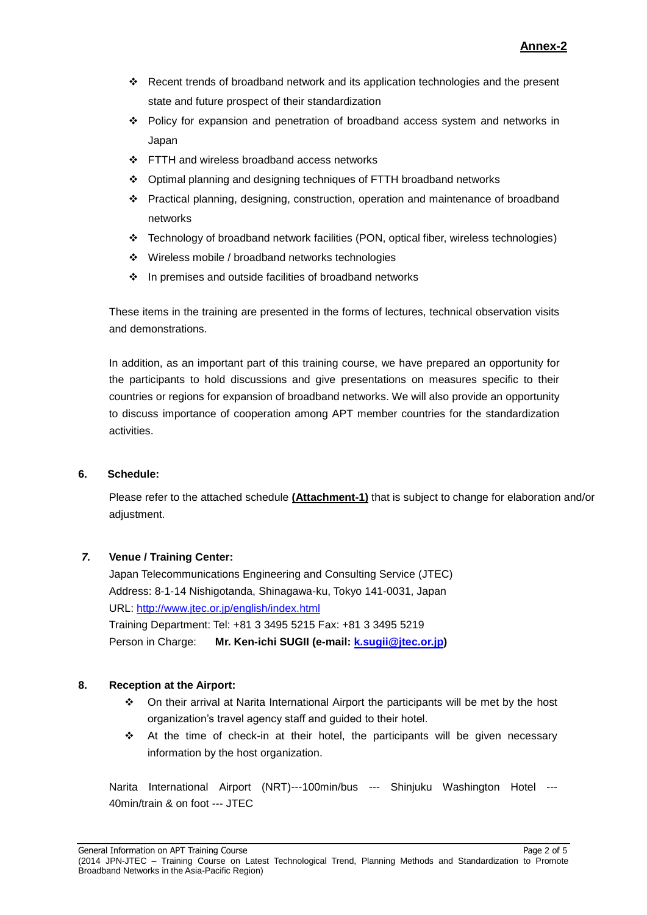- Recent trends of broadband network and its application technologies and the present state and future prospect of their standardization
- Policy for expansion and penetration of broadband access system and networks in Japan
- ❖ FTTH and wireless broadband access networks
- $\div$  Optimal planning and designing techniques of FTTH broadband networks
- Practical planning, designing, construction, operation and maintenance of broadband networks
- Technology of broadband network facilities (PON, optical fiber, wireless technologies)
- Wireless mobile / broadband networks technologies
- $\cdot$  In premises and outside facilities of broadband networks

These items in the training are presented in the forms of lectures, technical observation visits and demonstrations.

In addition, as an important part of this training course, we have prepared an opportunity for the participants to hold discussions and give presentations on measures specific to their countries or regions for expansion of broadband networks. We will also provide an opportunity to discuss importance of cooperation among APT member countries for the standardization activities.

#### **6. Schedule:**

Please refer to the attached schedule **(Attachment-1)** that is subject to change for elaboration and/or adjustment.

## *7.* **Venue / Training Center:**

Japan Telecommunications Engineering and Consulting Service (JTEC) Address: 8-1-14 Nishigotanda, Shinagawa-ku, Tokyo 141-0031, Japan URL:<http://www.jtec.or.jp/english/index.html> Training Department: Tel: +81 3 3495 5215 Fax: +81 3 3495 5219 Person in Charge: **Mr. Ken-ichi SUGII (e-mail: [k.sugii@jtec.or.jp\)](mailto:k.sugii@jtec.or.jp)**

## **8. Reception at the Airport:**

- On their arrival at Narita International Airport the participants will be met by the host organization's travel agency staff and guided to their hotel.
- At the time of check-in at their hotel, the participants will be given necessary information by the host organization.

Narita International Airport (NRT)---100min/bus --- Shinjuku Washington Hotel --- 40min/train & on foot --- JTEC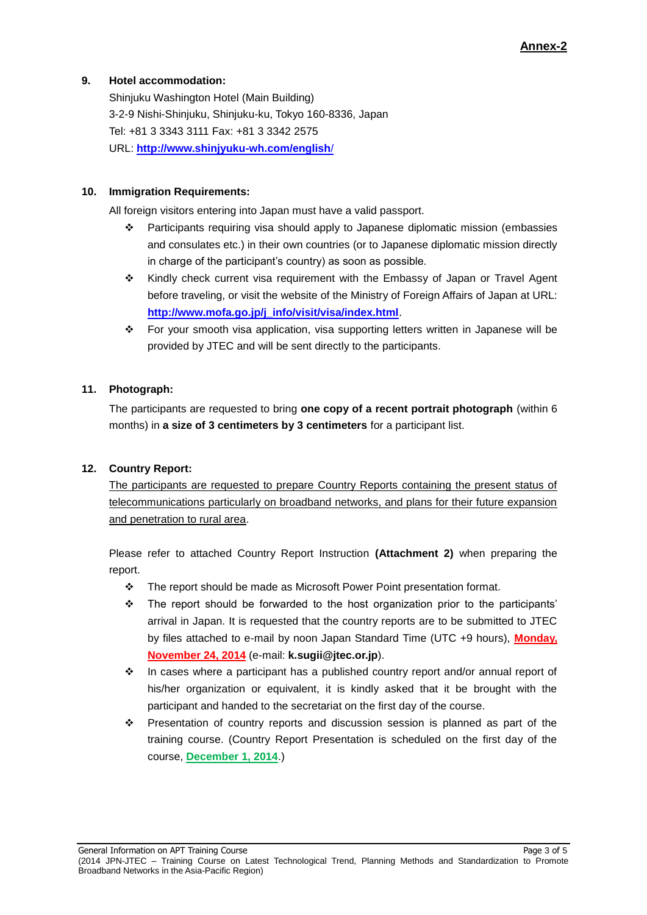## **9. Hotel accommodation:**

Shinjuku Washington Hotel (Main Building) 3-2-9 Nishi-Shinjuku, Shinjuku-ku, Tokyo 160-8336, Japan Tel: +81 3 3343 3111 Fax: +81 3 3342 2575 URL: **[http://www.shinjyuku-wh.com/english](http://www.shinjyuku-wh.com/english/)**/

### **10. Immigration Requirements:**

All foreign visitors entering into Japan must have a valid passport.

- Participants requiring visa should apply to Japanese diplomatic mission (embassies and consulates etc.) in their own countries (or to Japanese diplomatic mission directly in charge of the participant's country) as soon as possible.
- \* Kindly check current visa requirement with the Embassy of Japan or Travel Agent before traveling, or visit the website of the Ministry of Foreign Affairs of Japan at URL: **[http://www.mofa.go.jp/j\\_info/visit/visa/index.html](http://www.mofa.go.jp/j_info/visit/visa/index.html)**.
- For your smooth visa application, visa supporting letters written in Japanese will be provided by JTEC and will be sent directly to the participants.

## **11. Photograph:**

The participants are requested to bring **one copy of a recent portrait photograph** (within 6 months) in **a size of 3 centimeters by 3 centimeters** for a participant list.

## **12. Country Report:**

The participants are requested to prepare Country Reports containing the present status of telecommunications particularly on broadband networks, and plans for their future expansion and penetration to rural area.

Please refer to attached Country Report Instruction **(Attachment 2)** when preparing the report.

- \* The report should be made as Microsoft Power Point presentation format.
- $\cdot \cdot$  The report should be forwarded to the host organization prior to the participants' arrival in Japan. It is requested that the country reports are to be submitted to JTEC by files attached to e-mail by noon Japan Standard Time (UTC +9 hours), **Monday, November 24, 2014** (e-mail: **k.sugii@jtec.or.jp**).
- In cases where a participant has a published country report and/or annual report of his/her organization or equivalent, it is kindly asked that it be brought with the participant and handed to the secretariat on the first day of the course.
- **Presentation of country reports and discussion session is planned as part of the** training course. (Country Report Presentation is scheduled on the first day of the course, **December 1, 2014**.)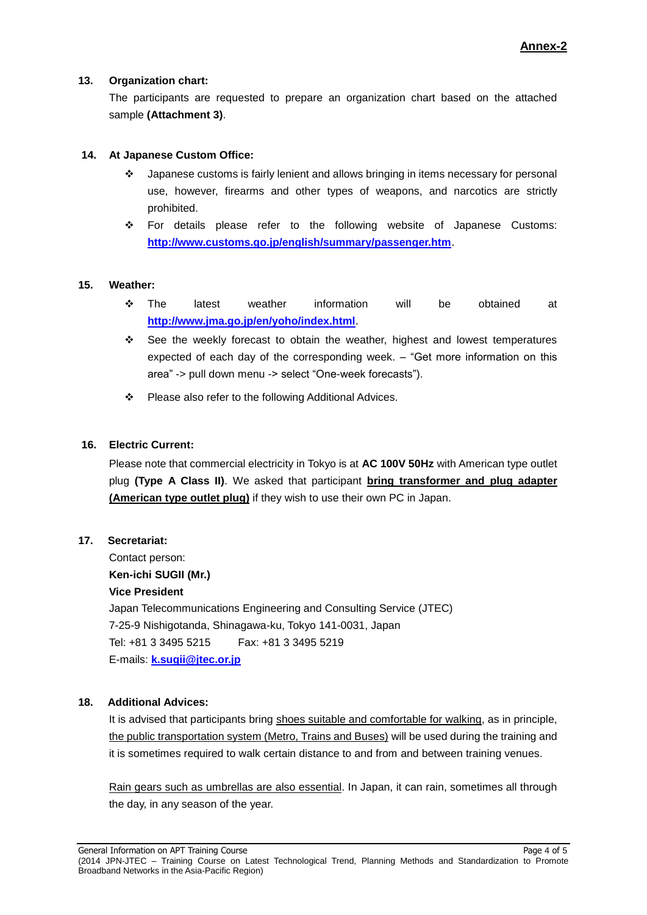#### **13. Organization chart:**

The participants are requested to prepare an organization chart based on the attached sample **(Attachment 3)**.

## **14. At Japanese Custom Office:**

- Japanese customs is fairly lenient and allows bringing in items necessary for personal use, however, firearms and other types of weapons, and narcotics are strictly prohibited.
- For details please refer to the following website of Japanese Customs: **<http://www.customs.go.jp/english/summary/passenger.htm>**.

## **15. Weather:**

- The latest weather information will be obtained at **<http://www.jma.go.jp/en/yoho/index.html>**.
- See the weekly forecast to obtain the weather, highest and lowest temperatures expected of each day of the corresponding week. – "Get more information on this area" -> pull down menu -> select "One-week forecasts").
- ❖ Please also refer to the following Additional Advices.

## **16. Electric Current:**

Please note that commercial electricity in Tokyo is at **AC 100V 50Hz** with American type outlet plug **(Type A Class II)**. We asked that participant **bring transformer and plug adapter (American type outlet plug)** if they wish to use their own PC in Japan.

#### **17. Secretariat:**

Contact person: **Ken-ichi SUGII (Mr.) Vice President** Japan Telecommunications Engineering and Consulting Service (JTEC) 7-25-9 Nishigotanda, Shinagawa-ku, Tokyo 141-0031, Japan Tel: +81 3 3495 5215 Fax: +81 3 3495 5219 E-mails: **[k.sugii@jtec.or.jp](mailto:k.sugii@jtec.or.jp)**

#### **18. Additional Advices:**

It is advised that participants bring shoes suitable and comfortable for walking, as in principle, the public transportation system (Metro, Trains and Buses) will be used during the training and it is sometimes required to walk certain distance to and from and between training venues.

Rain gears such as umbrellas are also essential. In Japan, it can rain, sometimes all through the day, in any season of the year.